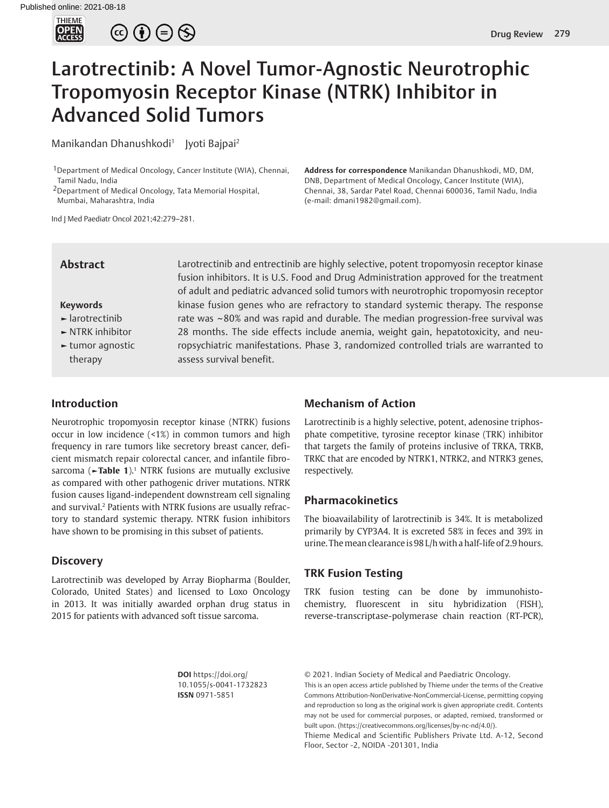

 $\circledcirc \oplus \circledcirc$ 

# Larotrectinib: A Novel Tumor-Agnostic Neurotrophic Tropomyosin Receptor Kinase (NTRK) Inhibitor in Advanced Solid Tumors

Manikandan Dhanushkodi<sup>1</sup> Iyoti Bajpai<sup>2</sup>

1Department of Medical Oncology, Cancer Institute (WIA), Chennai, Tamil Nadu, India

2Department of Medical Oncology, Tata Memorial Hospital, Mumbai, Maharashtra, India

Ind J Med Paediatr Oncol 2021;42:279–281.

# **Abstract**

#### **Keywords**

- **►** larotrectinib
- **►** NTRK inhibitor
- **►** tumor agnostic therapy

Larotrectinib and entrectinib are highly selective, potent tropomyosin receptor kinase fusion inhibitors. It is U.S. Food and Drug Administration approved for the treatment of adult and pediatric advanced solid tumors with neurotrophic tropomyosin receptor kinase fusion genes who are refractory to standard systemic therapy. The response rate was ~80% and was rapid and durable. The median progression-free survival was 28 months. The side effects include anemia, weight gain, hepatotoxicity, and neuropsychiatric manifestations. Phase 3, randomized controlled trials are warranted to assess survival benefit.

(e-mail: dmani1982@gmail.com).

#### **Introduction**

Neurotrophic tropomyosin receptor kinase (NTRK) fusions occur in low incidence (<1%) in common tumors and high frequency in rare tumors like secretory breast cancer, deficient mismatch repair colorectal cancer, and infantile fibrosarcoma ( $\blacktriangleright$ **Table 1**).<sup>1</sup> NTRK fusions are mutually exclusive as compared with other pathogenic driver mutations. NTRK fusion causes ligand-independent downstream cell signaling and survival.<sup>2</sup> Patients with NTRK fusions are usually refractory to standard systemic therapy. NTRK fusion inhibitors have shown to be promising in this subset of patients.

#### <span id="page-0-1"></span>**Discovery**

Larotrectinib was developed by Array Biopharma (Boulder, Colorado, United States) and licensed to Loxo Oncology in 2013. It was initially awarded orphan drug status in 2015 for patients with advanced soft tissue sarcoma.

# **Mechanism of Action**

Larotrectinib is a highly selective, potent, adenosine triphosphate competitive, tyrosine receptor kinase (TRK) inhibitor that targets the family of proteins inclusive of TRKA, TRKB, TRKC that are encoded by NTRK1, NTRK2, and NTRK3 genes, respectively.

**Address for correspondence** Manikandan Dhanushkodi, MD, DM, DNB, Department of Medical Oncology, Cancer Institute (WIA), Chennai, 38, Sardar Patel Road, Chennai 600036, Tamil Nadu, India

#### <span id="page-0-0"></span>**Pharmacokinetics**

The bioavailability of larotrectinib is 34%. It is metabolized primarily by CYP3A4. It is excreted 58% in feces and 39% in urine. The mean clearance is 98 L/h with a half-life of 2.9 hours.

#### **TRK Fusion Testing**

TRK fusion testing can be done by immunohistochemistry, fluorescent in situ hybridization (FISH), reverse-transcriptase-polymerase chain reaction (RT-PCR),

**DOI** https://doi.org/ 10.1055/s-0041-1732823 **ISSN** 0971-5851

© 2021. Indian Society of Medical and Paediatric Oncology.

This is an open access article published by Thieme under the terms of the Creative Commons Attribution-NonDerivative-NonCommercial-License, permitting copying and reproduction so long as the original work is given appropriate credit. Contents may not be used for commercial purposes, or adapted, remixed, transformed or built upon. (https://creativecommons.org/licenses/by-nc-nd/4.0/).

Thieme Medical and Scientific Publishers Private Ltd. A-12, Second Floor, Sector -2, NOIDA -201301, India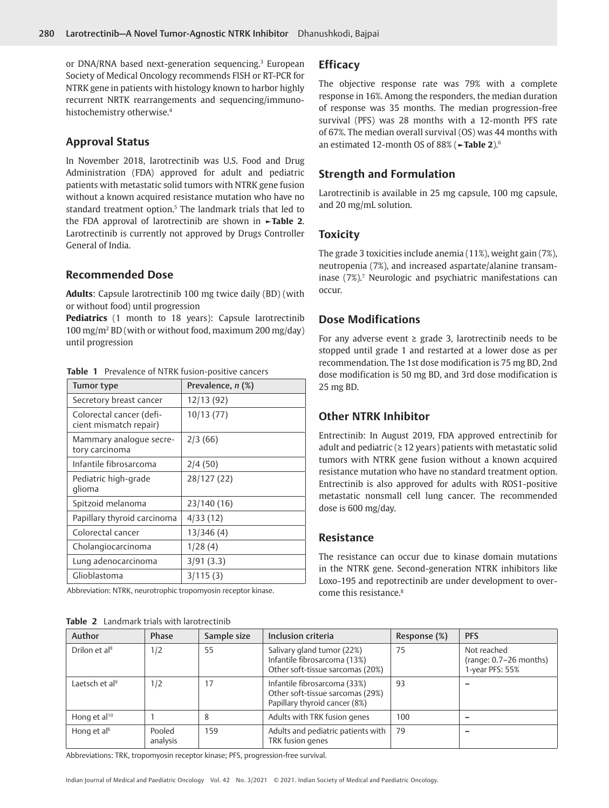<span id="page-1-2"></span>or DNA/RNA based next-generation sequencing.<sup>[3](#page-2-2)</sup> European Society of Medical Oncology recommends FISH or RT-PCR for NTRK gene in patients with histology known to harbor highly recurrent NRTK rearrangements and sequencing/immunohistochemistry otherwise[.4](#page-2-3)

# <span id="page-1-3"></span>**Approval Status**

<span id="page-1-4"></span>In November 2018, larotrectinib was U.S. Food and Drug Administration (FDA) approved for adult and pediatric patients with metastatic solid tumors with NTRK gene fusion without a known acquired resistance mutation who have no standard treatment option.<sup>5</sup> The landmark trials that led to the FDA approval of larotrectinib are shown in **[►Table 2](#page-1-1)**. Larotrectinib is currently not approved by Drugs Controller General of India.

# **Recommended Dose**

**Adults**: Capsule larotrectinib 100 mg twice daily (BD) (with or without food) until progression

**Pediatrics** (1 month to 18 years): Capsule larotrectinib 100 mg/m2 BD (with or without food, maximum 200 mg/day) until progression

| Tumor type                                         | Prevalence, n (%) |
|----------------------------------------------------|-------------------|
| Secretory breast cancer                            | 12/13 (92)        |
| Colorectal cancer (defi-<br>cient mismatch repair) | 10/13(77)         |
| Mammary analogue secre-<br>tory carcinoma          | 2/3(66)           |
| Infantile fibrosarcoma                             | 2/4(50)           |
| Pediatric high-grade<br>glioma                     | 28/127 (22)       |
| Spitzoid melanoma                                  | 23/140 (16)       |
| Papillary thyroid carcinoma                        | 4/33(12)          |
| Colorectal cancer                                  | 13/346 (4)        |
| Cholangiocarcinoma                                 | 1/28(4)           |
| Lung adenocarcinoma                                | 3/91(3.3)         |
| Glioblastoma                                       | 3/115(3)          |

<span id="page-1-0"></span>**Table 1** Prevalence of NTRK fusion-positive cancers

Abbreviation: NTRK, neurotrophic tropomyosin receptor kinase.

<span id="page-1-1"></span>

| <b>Table 2</b> Landmark trials with larotrectinib |
|---------------------------------------------------|
|---------------------------------------------------|

## **Efficacy**

The objective response rate was 79% with a complete response in 16%. Among the responders, the median duration of response was 35 months. The median progression-free survival (PFS) was 28 months with a 12-month PFS rate of 67%. The median overall survival (OS) was 44 months with an estimated 12-month OS of 88% (**[►Table 2](#page-1-1)**)[.6](#page-2-5)

## <span id="page-1-5"></span>**Strength and Formulation**

Larotrectinib is available in 25 mg capsule, 100 mg capsule, and 20 mg/mL solution.

#### **Toxicity**

<span id="page-1-6"></span>The grade 3 toxicities include anemia (11%), weight gain (7%), neutropenia (7%), and increased aspartate/alanine transam-inase ([7](#page-2-6)%).<sup>7</sup> Neurologic and psychiatric manifestations can occur.

# **Dose Modifications**

For any adverse event  $\geq$  grade 3, larotrectinib needs to be stopped until grade 1 and restarted at a lower dose as per recommendation. The 1st dose modification is 75 mg BD, 2nd dose modification is 50 mg BD, and 3rd dose modification is 25 mg BD.

# **Other NTRK Inhibitor**

Entrectinib: In August 2019, FDA approved entrectinib for adult and pediatric ( $\geq$  12 years) patients with metastatic solid tumors with NTRK gene fusion without a known acquired resistance mutation who have no standard treatment option. Entrectinib is also approved for adults with ROS1-positive metastatic nonsmall cell lung cancer. The recommended dose is 600 mg/day.

#### **Resistance**

<span id="page-1-7"></span>The resistance can occur due to kinase domain mutations in the NTRK gene. Second-generation NTRK inhibitors like Loxo-195 and repotrectinib are under development to overcome this resistance.<sup>8</sup>

<span id="page-1-8"></span>

| Author                     | Phase              | Sample size | Inclusion criteria                                                                                | Response (%) | <b>PFS</b>                                                 |
|----------------------------|--------------------|-------------|---------------------------------------------------------------------------------------------------|--------------|------------------------------------------------------------|
| Drilon et al <sup>8</sup>  | 1/2                | 55          | Salivary gland tumor (22%)<br>Infantile fibrosarcoma (13%)<br>Other soft-tissue sarcomas (20%)    | 75           | Not reached<br>$(range: 0.7-26 months)$<br>1-year PFS: 55% |
| Laetsch et al <sup>9</sup> | 1/2                | 17          | Infantile fibrosarcoma (33%)<br>Other soft-tissue sarcomas (29%)<br>Papillary thyroid cancer (8%) | 93           |                                                            |
| Hong et al <sup>10</sup>   |                    | 8           | Adults with TRK fusion genes                                                                      | 100          |                                                            |
| Hong et al <sup>6</sup>    | Pooled<br>analysis | 159         | Adults and pediatric patients with<br>TRK fusion genes                                            | 79           |                                                            |

<span id="page-1-9"></span>Abbreviations: TRK, tropomyosin receptor kinase; PFS, progression-free survival.